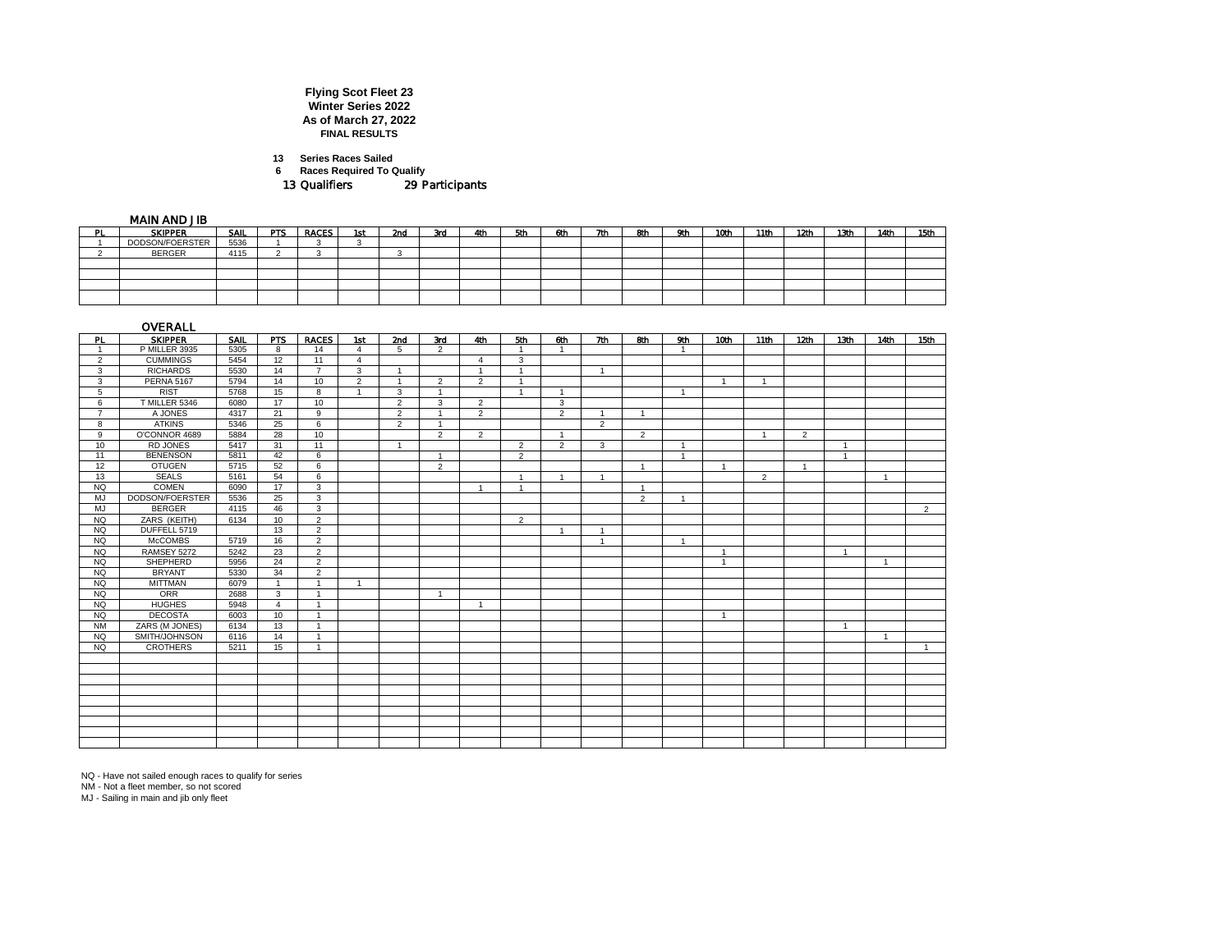## **Flying Scot Fleet 23 Winter Series 2022 As of March 27, 2022 FINAL RESULTS**

**13 Series Races Sailed**

**6 Races Required To Qualify**

13 Qualifiers 29 Participants

MAIN AND JIB

|     | .               |      |            |              |     |     |     |     |     |     |     |     |     |      |      |      |      |      |      |
|-----|-----------------|------|------------|--------------|-----|-----|-----|-----|-----|-----|-----|-----|-----|------|------|------|------|------|------|
| PL. | <b>SKIPPER</b>  | SAIL | <b>PTS</b> | <b>RACES</b> | 1st | 2nd | 3rd | 4th | 5th | 6th | 7th | 8th | 9th | 10th | 11th | 12th | 13th | 14th | 15th |
|     | DODSON/FOERSTER | 5536 |            |              |     |     |     |     |     |     |     |     |     |      |      |      |      |      |      |
|     | <b>BERGER</b>   | 4115 |            |              |     |     |     |     |     |     |     |     |     |      |      |      |      |      |      |
|     |                 |      |            |              |     |     |     |     |     |     |     |     |     |      |      |      |      |      |      |
|     |                 |      |            |              |     |     |     |     |     |     |     |     |     |      |      |      |      |      |      |
|     |                 |      |            |              |     |     |     |     |     |     |     |     |     |      |      |      |      |      |      |
|     |                 |      |            |              |     |     |     |     |     |     |     |     |     |      |      |      |      |      |      |
|     |                 |      |            |              |     |     |     |     |     |     |     |     |     |      |      |      |      |      |      |

|                | OVERALL           |      |                |                |                |                |                |                |                |                |                |                |                |                |                |                  |                  |                |                |
|----------------|-------------------|------|----------------|----------------|----------------|----------------|----------------|----------------|----------------|----------------|----------------|----------------|----------------|----------------|----------------|------------------|------------------|----------------|----------------|
| PL.            | <b>SKIPPER</b>    | SAIL | <b>PTS</b>     | <b>RACES</b>   | 1st            | 2nd            | 3rd            | 4th            | 5th            | 6th            | 7th            | 8th            | 9th            | 10th           | 11th           | 12 <sub>th</sub> | 13 <sub>th</sub> | 14th           | 15th           |
| $\overline{1}$ | P MILLER 3935     | 5305 | 8              | 14             | $\overline{4}$ | $5^{\circ}$    | $\overline{2}$ |                |                | -1             |                |                | -1             |                |                |                  |                  |                |                |
| $\overline{2}$ | <b>CUMMINGS</b>   | 5454 | 12             | 11             | $\overline{4}$ |                |                | $\overline{4}$ | 3              |                |                |                |                |                |                |                  |                  |                |                |
| 3              | <b>RICHARDS</b>   | 5530 | 14             | $\overline{7}$ | 3              | $\overline{1}$ |                | $\overline{A}$ | -1             |                | $\overline{1}$ |                |                |                |                |                  |                  |                |                |
| 3              | <b>PERNA 5167</b> | 5794 | 14             | 10             | $\overline{2}$ | $\overline{1}$ | 2              | 2              | $\overline{1}$ |                |                |                |                | $\overline{1}$ | $\overline{1}$ |                  |                  |                |                |
| 5              | <b>RIST</b>       | 5768 | 15             | 8              | $\overline{1}$ | 3              | $\overline{1}$ |                | $\overline{1}$ | $\overline{1}$ |                |                | $\overline{1}$ |                |                |                  |                  |                |                |
| 6              | T MILLER 5346     | 6080 | 17             | 10             |                | 2              | 3              | 2              |                | 3              |                |                |                |                |                |                  |                  |                |                |
| $\overline{7}$ | A JONES           | 4317 | 21             | 9              |                | $\overline{2}$ | $\overline{1}$ | $\overline{2}$ |                | $\overline{2}$ | $\overline{1}$ | $\overline{1}$ |                |                |                |                  |                  |                |                |
| 8              | <b>ATKINS</b>     | 5346 | 25             | 6              |                | $\overline{2}$ | -1             |                |                |                | $\overline{2}$ |                |                |                |                |                  |                  |                |                |
| 9              | O'CONNOR 4689     | 5884 | 28             | 10             |                |                | $\overline{2}$ | $\overline{2}$ |                | $\overline{1}$ |                | $\overline{2}$ |                |                | $\overline{1}$ | $\overline{2}$   |                  |                |                |
| 10             | <b>RD JONES</b>   | 5417 | 31             | 11             |                | $\overline{1}$ |                |                | 2              | $\overline{2}$ | 3              |                | -1             |                |                |                  | $\overline{1}$   |                |                |
| 11             | <b>BENENSON</b>   | 5811 | 42             | 6              |                |                | $\overline{1}$ |                | $\overline{2}$ |                |                |                | $\overline{1}$ |                |                |                  | $\overline{1}$   |                |                |
| 12             | <b>OTUGEN</b>     | 5715 | 52             | 6              |                |                | $\overline{2}$ |                |                |                |                | $\overline{1}$ |                | $\overline{1}$ |                | $\overline{1}$   |                  |                |                |
| 13             | <b>SEALS</b>      | 5161 | 54             | 6              |                |                |                |                |                | $\overline{1}$ | $\overline{1}$ |                |                |                | 2              |                  |                  | $\mathbf{1}$   |                |
| NQ             | <b>COMEN</b>      | 6090 | 17             | 3              |                |                |                |                |                |                |                | $\overline{ }$ |                |                |                |                  |                  |                |                |
| MJ             | DODSON/FOERSTER   | 5536 | 25             | 3              |                |                |                |                |                |                |                | $\overline{2}$ | $\overline{1}$ |                |                |                  |                  |                |                |
| MJ             | <b>BERGER</b>     | 4115 | 46             | 3              |                |                |                |                |                |                |                |                |                |                |                |                  |                  |                | $\overline{2}$ |
| <b>NQ</b>      | ZARS (KEITH)      | 6134 | 10             | $\overline{2}$ |                |                |                |                | 2              |                |                |                |                |                |                |                  |                  |                |                |
| NQ             | DUFFELL 5719      |      | 13             | $\overline{2}$ |                |                |                |                |                | $\mathbf{1}$   | $\overline{1}$ |                |                |                |                |                  |                  |                |                |
| NQ             | <b>McCOMBS</b>    | 5719 | 16             | $\overline{2}$ |                |                |                |                |                |                | $\overline{1}$ |                | $\overline{1}$ |                |                |                  |                  |                |                |
| <b>NQ</b>      | RAMSEY 5272       | 5242 | 23             | $\overline{2}$ |                |                |                |                |                |                |                |                |                | $\mathbf{1}$   |                |                  | $\overline{1}$   |                |                |
| <b>NQ</b>      | SHEPHERD          | 5956 | 24             | $\overline{2}$ |                |                |                |                |                |                |                |                |                | $\overline{1}$ |                |                  |                  | $\overline{1}$ |                |
| NQ             | <b>BRYANT</b>     | 5330 | 34             | $\overline{2}$ |                |                |                |                |                |                |                |                |                |                |                |                  |                  |                |                |
| <b>NQ</b>      | <b>MITTMAN</b>    | 6079 | $\mathbf{1}$   | $\overline{1}$ | $\overline{1}$ |                |                |                |                |                |                |                |                |                |                |                  |                  |                |                |
| <b>NQ</b>      | ORR               | 2688 | 3              | $\overline{1}$ |                |                | $\overline{1}$ |                |                |                |                |                |                |                |                |                  |                  |                |                |
| NQ             | <b>HUGHES</b>     | 5948 | $\overline{4}$ | $\overline{1}$ |                |                |                | $\overline{1}$ |                |                |                |                |                |                |                |                  |                  |                |                |
| NQ             | <b>DECOSTA</b>    | 6003 | 10             | $\overline{1}$ |                |                |                |                |                |                |                |                |                | $\overline{1}$ |                |                  |                  |                |                |
| <b>NM</b>      | ZARS (M JONES)    | 6134 | 13             | $\overline{1}$ |                |                |                |                |                |                |                |                |                |                |                |                  | -1               |                |                |
| <b>NQ</b>      | SMITH/JOHNSON     | 6116 | 14             | $\overline{1}$ |                |                |                |                |                |                |                |                |                |                |                |                  |                  | $\overline{1}$ |                |
| <b>NQ</b>      | <b>CROTHERS</b>   | 5211 | 15             | $\mathbf{1}$   |                |                |                |                |                |                |                |                |                |                |                |                  |                  |                | $\overline{1}$ |
|                |                   |      |                |                |                |                |                |                |                |                |                |                |                |                |                |                  |                  |                |                |
|                |                   |      |                |                |                |                |                |                |                |                |                |                |                |                |                |                  |                  |                |                |
|                |                   |      |                |                |                |                |                |                |                |                |                |                |                |                |                |                  |                  |                |                |
|                |                   |      |                |                |                |                |                |                |                |                |                |                |                |                |                |                  |                  |                |                |
|                |                   |      |                |                |                |                |                |                |                |                |                |                |                |                |                |                  |                  |                |                |
|                |                   |      |                |                |                |                |                |                |                |                |                |                |                |                |                |                  |                  |                |                |
|                |                   |      |                |                |                |                |                |                |                |                |                |                |                |                |                |                  |                  |                |                |
|                |                   |      |                |                |                |                |                |                |                |                |                |                |                |                |                |                  |                  |                |                |
|                |                   |      |                |                |                |                |                |                |                |                |                |                |                |                |                |                  |                  |                |                |

NQ - Have not sailed enough races to qualify for series NM - Not a fleet member, so not scored MJ - Sailing in main and jib only fleet